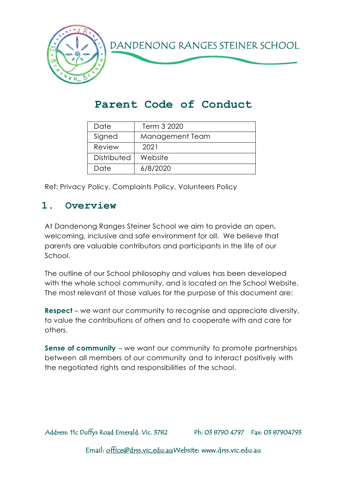

# **Parent Code of Conduct**

| Date        | Term 3 2020     |
|-------------|-----------------|
| Signed      | Management Team |
| Review      | 2021            |
| Distributed | Website         |
| Date        | 6/8/2020        |

Ref: Privacy Policy, Complaints Policy, Volunteers Policy

#### **1. Overview**

At Dandenong Ranges Steiner School we aim to provide an open, welcoming, inclusive and safe environment for all. We believe that parents are valuable contributors and participants in the life of our School.

The outline of our School philosophy and values has been developed with the whole school community, and is located on the School Website. The most relevant of those values for the purpose of this document are:

**Respect** – we want our community to recognise and appreciate diversity, to value the contributions of others and to cooperate with and care for others.

**Sense of community** – we want our community to promote partnerships between all members of our community and to interact positively with the negotiated rights and responsibilities of the school.

Address: 11c Duffys Road Emerald. Vic. 3782 Ph: 03 8790 4797 Fax: 03 87904793

Email: [office@drss.vic,edu.auW](mailto:office@drss.vic,edu.au)ebsite: www.drss.vic.edu.au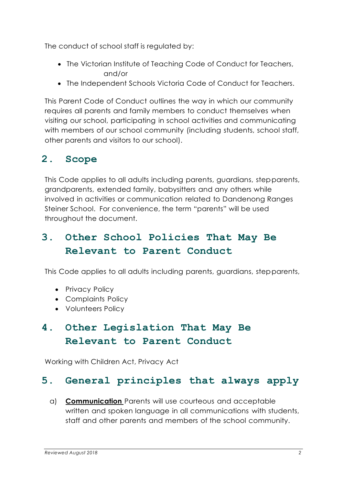The conduct of school staff is regulated by:

- The Victorian Institute of Teaching Code of Conduct for Teachers, and/or
- The Independent Schools Victoria Code of Conduct for Teachers.

This Parent Code of Conduct outlines the way in which our community requires all parents and family members to conduct themselves when visiting our school, participating in school activities and communicating with members of our school community (including students, school staff, other parents and visitors to our school).

# **2. Scope**

This Code applies to all adults including parents, guardians, step-parents, grandparents, extended family, babysitters and any others while involved in activities or communication related to Dandenong Ranges Steiner School. For convenience, the term "parents" will be used throughout the document.

## **3. Other School Policies That May Be Relevant to Parent Conduct**

This Code applies to all adults including parents, guardians, step-parents,

- Privacy Policy
- Complaints Policy
- Volunteers Policy

## **4. Other Legislation That May Be Relevant to Parent Conduct**

Working with Children Act, Privacy Act

### **5. General principles that always apply**

a) **Communication** Parents will use courteous and acceptable written and spoken language in all communications with students, staff and other parents and members of the school community.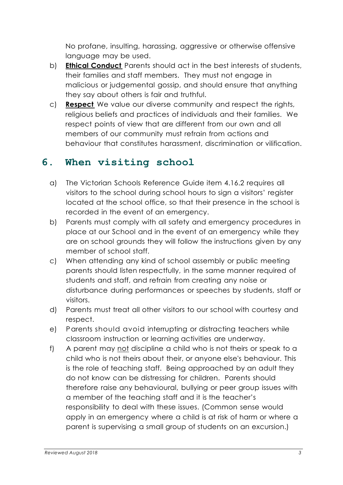No profane, insulting, harassing, aggressive or otherwise offensive language may be used.

- b) **Ethical Conduct** Parents should act in the best interests of students, their families and staff members. They must not engage in malicious or judgemental gossip, and should ensure that anything they say about others is fair and truthful.
- c) **Respect** We value our diverse community and respect the rights, religious beliefs and practices of individuals and their families. We respect points of view that are different from our own and all members of our community must refrain from actions and behaviour that constitutes harassment, discrimination or vilification.

### **6. When visiting school**

- a) The Victorian Schools Reference Guide item 4.16.2 requires all visitors to the school during school hours to sign a visitors' register located at the school office, so that their presence in the school is recorded in the event of an emergency.
- b) Parents must comply with all safety and emergency procedures in place at our School and in the event of an emergency while they are on school grounds they will follow the instructions given by any member of school staff.
- c) When attending any kind of school assembly or public meeting parents should listen respectfully, in the same manner required of students and staff, and refrain from creating any noise or disturbance during performances or speeches by students, staff or visitors.
- d) Parents must treat all other visitors to our school with courtesy and respect.
- e) Parents should avoid interrupting or distracting teachers while classroom instruction or learning activities are underway.
- f) A parent may not discipline a child who is not theirs or speak to a child who is not theirs about their, or anyone else's behaviour. This is the role of teaching staff. Being approached by an adult they do not know can be distressing for children. Parents should therefore raise any behavioural, bullying or peer group issues with a member of the teaching staff and it is the teacher's responsibility to deal with these issues. (Common sense would apply in an emergency where a child is at risk of harm or where a parent is supervising a small group of students on an excursion.)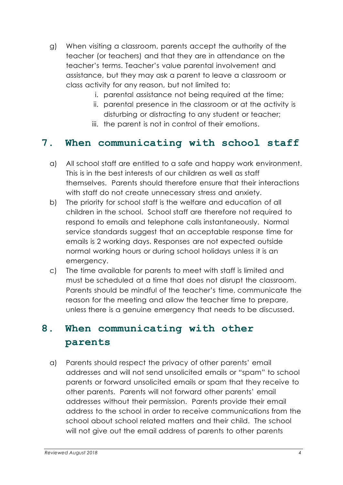- g) When visiting a classroom, parents accept the authority of the teacher (or teachers) and that they are in attendance on the teacher's terms. Teacher's value parental involvement and assistance, but they may ask a parent to leave a classroom or class activity for any reason, but not limited to:
	- i. parental assistance not being required at the time;
	- ii. parental presence in the classroom or at the activity is disturbing or distracting to any student or teacher;
	- iii. the parent is not in control of their emotions.

### **7. When communicating with school staff**

- a) All school staff are entitled to a safe and happy work environment. This is in the best interests of our children as well as staff themselves. Parents should therefore ensure that their interactions with staff do not create unnecessary stress and anxiety.
- b) The priority for school staff is the welfare and education of all children in the school. School staff are therefore not required to respond to emails and telephone calls instantaneously. Normal service standards suggest that an acceptable response time for emails is 2 working days. Responses are not expected outside normal working hours or during school holidays unless it is an emergency.
- c) The time available for parents to meet with staff is limited and must be scheduled at a time that does not disrupt the classroom. Parents should be mindful of the teacher's time, communicate the reason for the meeting and allow the teacher time to prepare, unless there is a genuine emergency that needs to be discussed.

### **8. When communicating with other parents**

a) Parents should respect the privacy of other parents' email addresses and will not send unsolicited emails or "spam" to school parents or forward unsolicited emails or spam that they receive to other parents. Parents will not forward other parents' email addresses without their permission. Parents provide their email address to the school in order to receive communications from the school about school related matters and their child. The school will not give out the email address of parents to other parents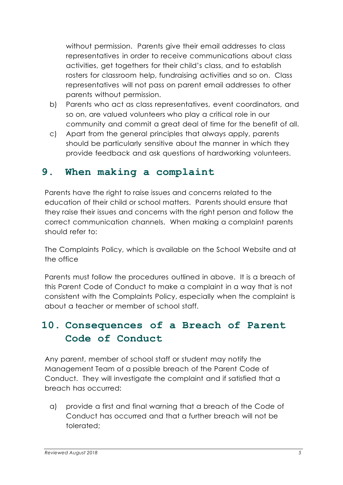without permission. Parents give their email addresses to class representatives in order to receive communications about class activities, get togethers for their child's class, and to establish rosters for classroom help, fundraising activities and so on. Class representatives will not pass on parent email addresses to other parents without permission.

- b) Parents who act as class representatives, event coordinators, and so on, are valued volunteers who play a critical role in our community and commit a great deal of time for the benefit of all.
- c) Apart from the general principles that always apply, parents should be particularly sensitive about the manner in which they provide feedback and ask questions of hardworking volunteers.

### **9. When making a complaint**

Parents have the right to raise issues and concerns related to the education of their child or school matters. Parents should ensure that they raise their issues and concerns with the right person and follow the correct communication channels. When making a complaint parents should refer to:

The Complaints Policy, which is available on the School Website and at the office

Parents must follow the procedures outlined in above. It is a breach of this Parent Code of Conduct to make a complaint in a way that is not consistent with the Complaints Policy, especially when the complaint is about a teacher or member of school staff.

## **10. Consequences of a Breach of Parent Code of Conduct**

Any parent, member of school staff or student may notify the Management Team of a possible breach of the Parent Code of Conduct. They will investigate the complaint and if satisfied that a breach has occurred:

a) provide a first and final warning that a breach of the Code of Conduct has occurred and that a further breach will not be tolerated;